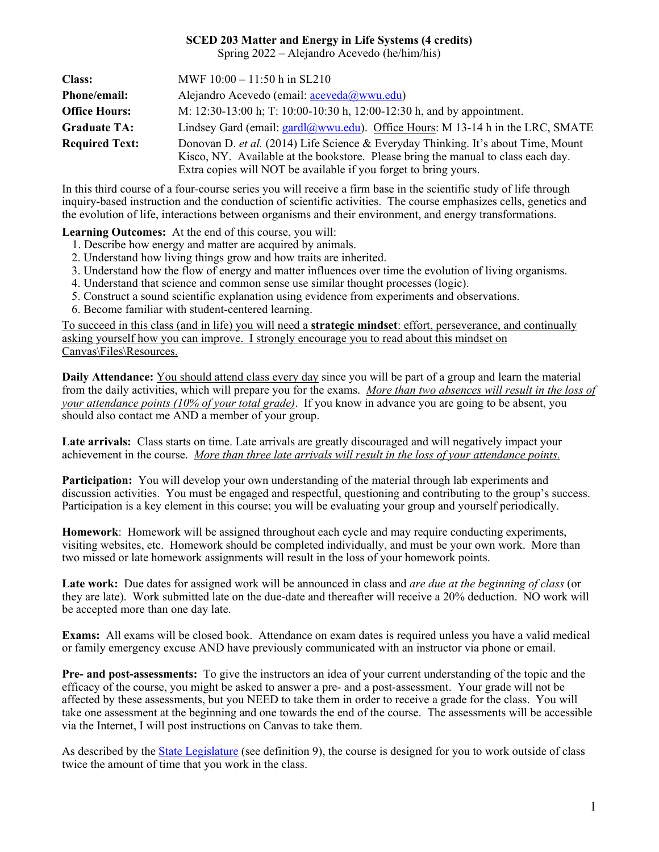### **SCED 203 Matter and Energy in Life Systems (4 credits)**

Spring 2022 – Alejandro Acevedo (he/him/his)

| <b>Class:</b>         | MWF $10:00 - 11:50$ h in SL210                                                                                                                                                                                                             |  |
|-----------------------|--------------------------------------------------------------------------------------------------------------------------------------------------------------------------------------------------------------------------------------------|--|
| <b>Phone/email:</b>   | Alejandro Acevedo (email: $\frac{a}{2}$ ceveda $\left(\frac{a}{2}$ wwu.edu)                                                                                                                                                                |  |
| <b>Office Hours:</b>  | M: 12:30-13:00 h; T: 10:00-10:30 h, 12:00-12:30 h, and by appointment.                                                                                                                                                                     |  |
| <b>Graduate TA:</b>   | Lindsey Gard (email: gardl@wwu.edu). Office Hours: M 13-14 h in the LRC, SMATE                                                                                                                                                             |  |
| <b>Required Text:</b> | Donovan D. et al. (2014) Life Science & Everyday Thinking. It's about Time, Mount<br>Kisco, NY. Available at the bookstore. Please bring the manual to class each day.<br>Extra copies will NOT be available if you forget to bring yours. |  |

In this third course of a four-course series you will receive a firm base in the scientific study of life through inquiry-based instruction and the conduction of scientific activities. The course emphasizes cells, genetics and the evolution of life, interactions between organisms and their environment, and energy transformations.

**Learning Outcomes:** At the end of this course, you will:

- 1. Describe how energy and matter are acquired by animals.
- 2. Understand how living things grow and how traits are inherited.
- 3. Understand how the flow of energy and matter influences over time the evolution of living organisms.
- 4. Understand that science and common sense use similar thought processes (logic).
- 5. Construct a sound scientific explanation using evidence from experiments and observations.
- 6. Become familiar with student-centered learning.

To succeed in this class (and in life) you will need a **strategic mindset**: effort, perseverance, and continually asking yourself how you can improve. I strongly encourage you to read about this mindset on Canvas\Files\Resources.

**Daily Attendance:** You should attend class every day since you will be part of a group and learn the material from the daily activities, which will prepare you for the exams. *More than two absences will result in the loss of your attendance points (10% of your total grade)*. If you know in advance you are going to be absent, you should also contact me AND a member of your group.

**Late arrivals:** Class starts on time. Late arrivals are greatly discouraged and will negatively impact your achievement in the course. *More than three late arrivals will result in the loss of your attendance points.* 

**Participation:** You will develop your own understanding of the material through lab experiments and discussion activities. You must be engaged and respectful, questioning and contributing to the group's success. Participation is a key element in this course; you will be evaluating your group and yourself periodically.

**Homework**: Homework will be assigned throughout each cycle and may require conducting experiments, visiting websites, etc. Homework should be completed individually, and must be your own work. More than two missed or late homework assignments will result in the loss of your homework points.

**Late work:** Due dates for assigned work will be announced in class and *are due at the beginning of class* (or they are late). Work submitted late on the due-date and thereafter will receive a 20% deduction. NO work will be accepted more than one day late.

**Exams:** All exams will be closed book. Attendance on exam dates is required unless you have a valid medical or family emergency excuse AND have previously communicated with an instructor via phone or email.

**Pre- and post-assessments:** To give the instructors an idea of your current understanding of the topic and the efficacy of the course, you might be asked to answer a pre- and a post-assessment. Your grade will not be affected by these assessments, but you NEED to take them in order to receive a grade for the class. You will take one assessment at the beginning and one towards the end of the course. The assessments will be accessible via the Internet, I will post instructions on Canvas to take them.

As described by the **State Legislature** (see definition 9), the course is designed for you to work outside of class twice the amount of time that you work in the class.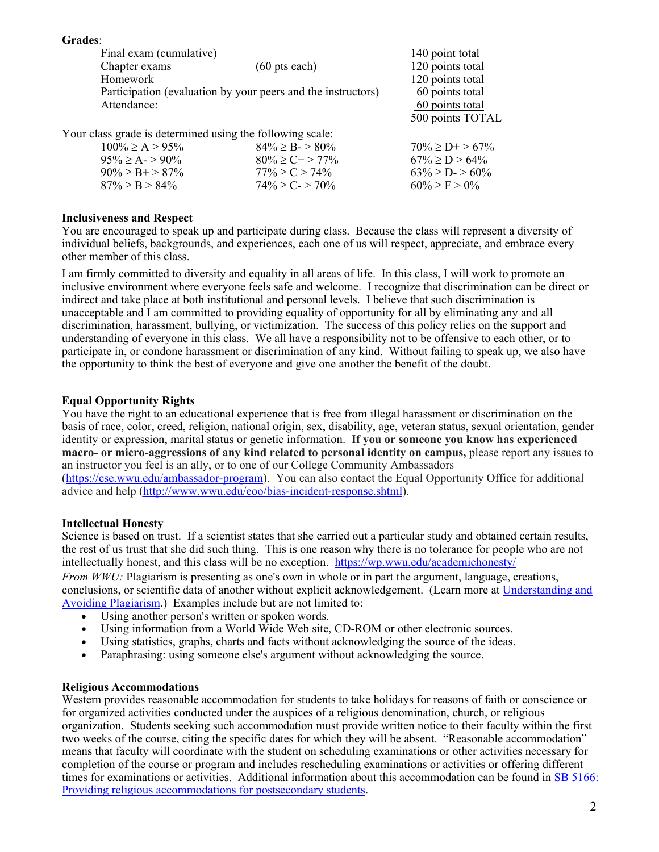**Grades**: Final exam (cumulative) 140 point total<br>Chapter exams (60 pts each) 120 points total  $120$  points total Homework 120 points total Participation (evaluation by your peers and the instructors) 60 points total Attendance: 60 points total 500 points TOTAL Your class grade is determined using the following scale:

| $84\% > B - 80\%$   | $70\% > D + > 67\%$     |
|---------------------|-------------------------|
| $80\% \ge C + 77\%$ | $67\% \ge D > 64\%$     |
| $77\% > C > 74\%$   | $63\% \ge D$ - $> 60\%$ |
| $74\% \ge C - 70\%$ | $60\% > F > 0\%$        |
|                     |                         |

## **Inclusiveness and Respect**

You are encouraged to speak up and participate during class. Because the class will represent a diversity of individual beliefs, backgrounds, and experiences, each one of us will respect, appreciate, and embrace every other member of this class.

I am firmly committed to diversity and equality in all areas of life. In this class, I will work to promote an inclusive environment where everyone feels safe and welcome. I recognize that discrimination can be direct or indirect and take place at both institutional and personal levels. I believe that such discrimination is unacceptable and I am committed to providing equality of opportunity for all by eliminating any and all discrimination, harassment, bullying, or victimization. The success of this policy relies on the support and understanding of everyone in this class. We all have a responsibility not to be offensive to each other, or to participate in, or condone harassment or discrimination of any kind. Without failing to speak up, we also have the opportunity to think the best of everyone and give one another the benefit of the doubt.

## **Equal Opportunity Rights**

You have the right to an educational experience that is free from illegal harassment or discrimination on the basis of race, color, creed, religion, national origin, sex, disability, age, veteran status, sexual orientation, gender identity or expression, marital status or genetic information. **If you or someone you know has experienced macro- or micro-aggressions of any kind related to personal identity on campus,** please report any issues to an instructor you feel is an ally, or to one of our College Community Ambassadors [\(https://cse.wwu.edu/ambassador-program\)](https://cse.wwu.edu/ambassador-program). You can also contact the Equal Opportunity Office for additional advice and help [\(http://www.wwu.edu/eoo/bias-incident-response.shtml\)](https://nam03.safelinks.protection.outlook.com/?url=http%3A%2F%2Fwww.wwu.edu%2Feoo%2Fbias-incident-response.shtml&data=02%7C01%7Caceveda%40wwu.edu%7C4f08e69fee0f48f55e3c08d80f00bc24%7Cdc46140ce26f43efb0ae00f257f478ff%7C0%7C0%7C637275843108949032&sdata=PsFhuI8mkPrkvDoDRAhc9ZU3iltOc5phlx2%2BpskAaws%3D&reserved=0).

## **Intellectual Honesty**

Science is based on trust. If a scientist states that she carried out a particular study and obtained certain results, the rest of us trust that she did such thing. This is one reason why there is no tolerance for people who are not intellectually honest, and this class will be no exception. <https://wp.wwu.edu/academichonesty/>

*From WWU:* Plagiarism is presenting as one's own in whole or in part the argument, language, creations, conclusions, or scientific data of another without explicit acknowledgement. (Learn more at [Understanding and](http://www.libguides.wwu.edu/content.php?pid=141495&sid=1299742)  Avoiding [Plagiarism.](http://www.libguides.wwu.edu/content.php?pid=141495&sid=1299742)) Examples include but are not limited to:

- Using another person's written or spoken words.
- Using information from a World Wide Web site, CD-ROM or other electronic sources.
- Using statistics, graphs, charts and facts without acknowledging the source of the ideas.
- Paraphrasing: using someone else's argument without acknowledging the source.

### **Religious Accommodations**

Western provides reasonable accommodation for students to take holidays for reasons of faith or conscience or for organized activities conducted under the auspices of a religious denomination, church, or religious organization. Students seeking such accommodation must provide written notice to their faculty within the first two weeks of the course, citing the specific dates for which they will be absent. "Reasonable accommodation" means that faculty will coordinate with the student on scheduling examinations or other activities necessary for completion of the course or program and includes rescheduling examinations or activities or offering different times for examinations or activities. Additional information about this accommodation can be found in SB [5166:](https://nam03.safelinks.protection.outlook.com/?url=http%3A%2F%2Flawfilesext.leg.wa.gov%2Fbiennium%2F2019-20%2FPdf%2FBills%2FSenate%2520Passed%2520Legislature%2F5166-S.PL.pdf&data=02%7C01%7Caceveda%40wwu.edu%7C0aff579cf5c04be9c37f08d722744452%7Cdc46140ce26f43efb0ae00f257f478ff%7C0%7C0%7C637015755311801739&sdata=XLHT%2Bem6sNucL362v6YyK5uKouS1Ua%2BK2GGpMoMToBY%3D&reserved=0) Providing religious [accommodations](https://nam03.safelinks.protection.outlook.com/?url=http%3A%2F%2Flawfilesext.leg.wa.gov%2Fbiennium%2F2019-20%2FPdf%2FBills%2FSenate%2520Passed%2520Legislature%2F5166-S.PL.pdf&data=02%7C01%7Caceveda%40wwu.edu%7C0aff579cf5c04be9c37f08d722744452%7Cdc46140ce26f43efb0ae00f257f478ff%7C0%7C0%7C637015755311801739&sdata=XLHT%2Bem6sNucL362v6YyK5uKouS1Ua%2BK2GGpMoMToBY%3D&reserved=0) for postsecondary students.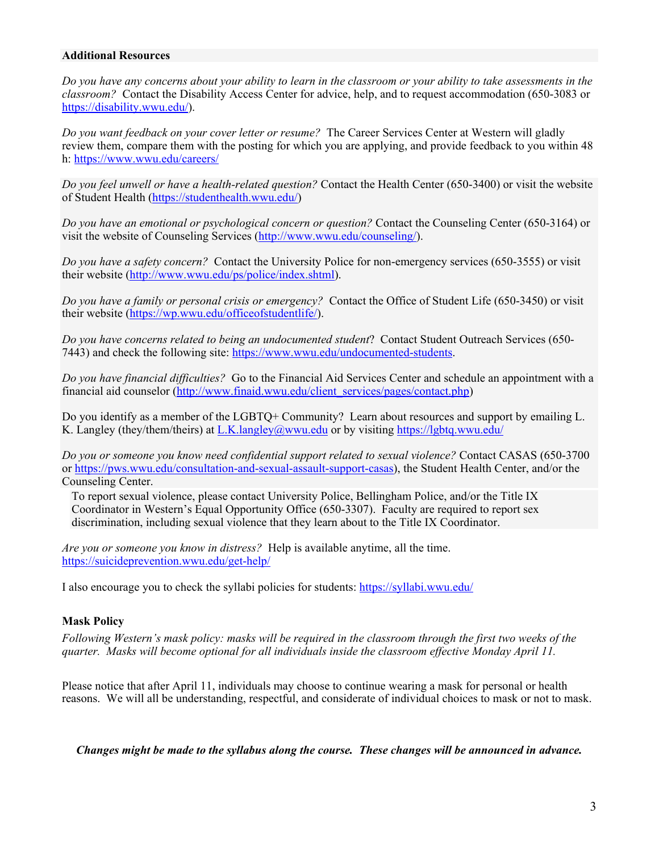#### **Additional Resources**

*Do you have any concerns about your ability to learn in the classroom or your ability to take assessments in the classroom?* Contact the Disability Access Center for advice, help, and to request accommodation (650-3083 or [https://disability.wwu.edu/\)](https://disability.wwu.edu/).

*Do you want feedback on your cover letter or resume?* The Career Services Center at Western will gladly review them, compare them with the posting for which you are applying, and provide feedback to you within 48 h:<https://www.wwu.edu/careers/>

*Do you feel unwell or have a health-related question?* Contact the Health Center (650-3400) or visit the website of Student Health [\(https://studenthealth.wwu.edu/\)](https://studenthealth.wwu.edu/)

*Do you have an emotional or psychological concern or question?* Contact the Counseling Center (650-3164) or visit the website of Counseling Services [\(http://www.wwu.edu/counseling/\)](http://www.wwu.edu/counseling/).

*Do you have a safety concern?* Contact the University Police for non-emergency services (650-3555) or visit their website [\(http://www.wwu.edu/ps/police/index.shtml\)](http://www.wwu.edu/ps/police/index.shtml).

*Do you have a family or personal crisis or emergency?* Contact the Office of Student Life (650-3450) or visit their website [\(https://wp.wwu.edu/officeofstudentlife/\)](https://wp.wwu.edu/officeofstudentlife/).

*Do you have concerns related to being an undocumented student*? Contact Student Outreach Services (650- 7443) and check the following site: [https://www.wwu.edu/undocumented-students.](https://www.wwu.edu/undocumented-students)

*Do you have financial difficulties?* Go to the Financial Aid Services Center and schedule an appointment with a financial aid counselor [\(http://www.finaid.wwu.edu/client\\_services/pages/contact.php\)](http://www.finaid.wwu.edu/client_services/pages/contact.php)

Do you identify as a member of the LGBTQ+ Community? Learn about resources and support by emailing L. K. Langley (they/them/theirs) at [L.K.langley@wwu.edu](mailto:L.K.langley@wwu.edu) or by visiting<https://lgbtq.wwu.edu/>

*Do you or someone you know need confidential support related to sexual violence?* Contact CASAS (650-3700 or [https://pws.wwu.edu/consultation-and-sexual-assault-support-casas\)](https://pws.wwu.edu/consultation-and-sexual-assault-support-casas), the Student Health Center, and/or the Counseling Center.

To report sexual violence, please contact University Police, Bellingham Police, and/or the Title IX Coordinator in Western's Equal Opportunity Office (650-3307). Faculty are required to report sex discrimination, including sexual violence that they learn about to the Title IX Coordinator.

*Are you or someone you know in distress?* Help is available anytime, all the time. <https://suicideprevention.wwu.edu/get-help/>

I also encourage you to check the syllabi policies for students: <https://syllabi.wwu.edu/>

### **Mask Policy**

*Following Western's mask policy: masks will be required in the classroom through the first two weeks of the quarter. Masks will become optional for all individuals inside the classroom effective Monday April 11.* 

Please notice that after April 11, individuals may choose to continue wearing a mask for personal or health reasons. We will all be understanding, respectful, and considerate of individual choices to mask or not to mask.

*Changes might be made to the syllabus along the course. These changes will be announced in advance.*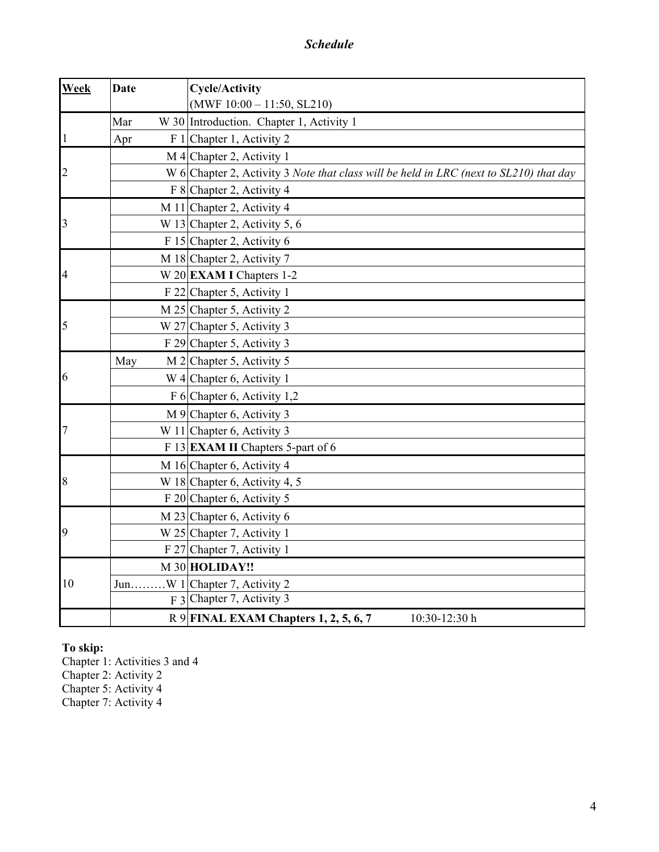*Schedule*

| Week           | <b>Date</b> | <b>Cycle/Activity</b><br>$(MWF 10:00 - 11:50, SL210)$                                  |
|----------------|-------------|----------------------------------------------------------------------------------------|
|                | Mar         | W 30 Introduction. Chapter 1, Activity 1                                               |
| 1              | Apr         | F 1 Chapter 1, Activity 2                                                              |
|                |             | $M$ 4 Chapter 2, Activity 1                                                            |
| $\overline{c}$ |             | W 6 Chapter 2, Activity 3 Note that class will be held in LRC (next to SL210) that day |
|                |             | F 8 Chapter 2, Activity 4                                                              |
|                |             | M 11 Chapter 2, Activity 4                                                             |
| 3              |             |                                                                                        |
|                |             | W 13 Chapter 2, Activity 5, $6$<br>F 15 Chapter 2, Activity 6                          |
|                |             |                                                                                        |
| 4              |             | M 18 Chapter 2, Activity 7                                                             |
|                |             | W 20 EXAM I Chapters $1-2$<br>F 22 Chapter 5, Activity 1                               |
|                |             |                                                                                        |
| 5              |             | M 25 Chapter 5, Activity 2                                                             |
|                |             | W 27 Chapter 5, Activity 3                                                             |
| 6              |             | F 29 Chapter 5, Activity 3                                                             |
|                | May         | M 2 Chapter 5, Activity 5                                                              |
|                |             | W 4 Chapter 6, Activity 1                                                              |
|                |             | F 6 Chapter 6, Activity 1,2                                                            |
|                |             | M 9 Chapter 6, Activity 3                                                              |
|                |             | W 11 Chapter 6, Activity 3                                                             |
|                |             | F 13 <b>EXAM II</b> Chapters 5-part of 6                                               |
| 8              |             | M 16 Chapter 6, Activity 4                                                             |
|                |             | W 18 Chapter 6, Activity 4, 5                                                          |
|                |             | F 20 Chapter 6, Activity 5                                                             |
| 9              |             | M 23 Chapter 6, Activity 6                                                             |
|                |             | W 25 Chapter 7, Activity 1                                                             |
|                |             | F 27 Chapter 7, Activity 1                                                             |
| 10             |             | M 30 HOLIDAY!!                                                                         |
|                |             | JunW 1 Chapter 7, Activity 2                                                           |
|                |             | F <sub>3</sub> Chapter 7, Activity 3                                                   |
|                |             | R 9 FINAL EXAM Chapters 1, 2, 5, 6, 7<br>10:30-12:30 h                                 |

## **To skip:**

Chapter 1: Activities 3 and 4

Chapter 2: Activity 2

Chapter 5: Activity 4

Chapter 7: Activity 4